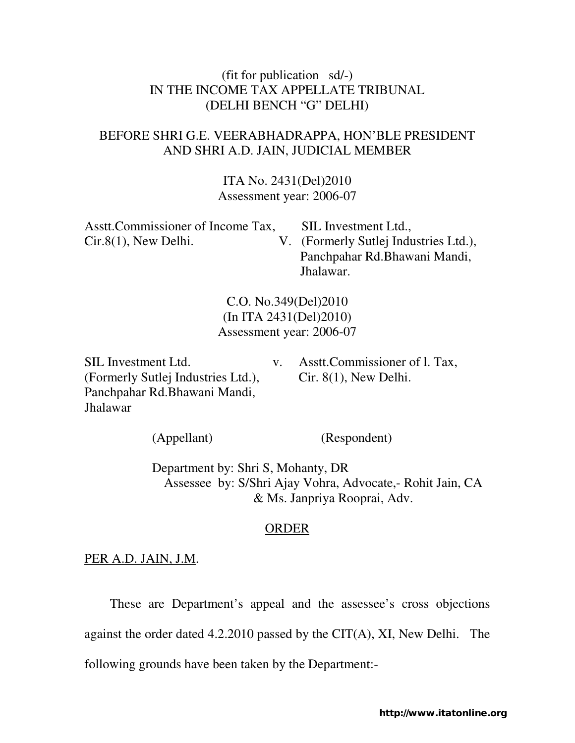## (fit for publication sd/-) IN THE INCOME TAX APPELLATE TRIBUNAL (DELHI BENCH "G" DELHI)

## BEFORE SHRI G.E. VEERABHADRAPPA, HON'BLE PRESIDENT AND SHRI A.D. JAIN, JUDICIAL MEMBER

ITA No. 2431(Del)2010 Assessment year: 2006-07

| Asstt. Commissioner of Income Tax, | SIL Investment Ltd.,                  |
|------------------------------------|---------------------------------------|
| $Cir.8(1)$ , New Delhi.            | V. (Formerly Sutlej Industries Ltd.), |
|                                    | Panchpahar Rd. Bhawani Mandi,         |
|                                    | Jhalawar.                             |

C.O. No.349(Del)2010 (In ITA 2431(Del)2010) Assessment year: 2006-07

(Formerly Sutlej Industries Ltd.), Cir. 8(1), New Delhi. Panchpahar Rd.Bhawani Mandi, Jhalawar

SIL Investment Ltd.  $v.$  Asstt.Commissioner of l. Tax,

(Appellant) (Respondent)

 Department by: Shri S, Mohanty, DR Assessee by: S/Shri Ajay Vohra, Advocate,- Rohit Jain, CA & Ms. Janpriya Rooprai, Adv.

## ORDER

## PER A.D. JAIN, J.M.

These are Department's appeal and the assessee's cross objections

against the order dated 4.2.2010 passed by the CIT(A), XI, New Delhi. The

following grounds have been taken by the Department:-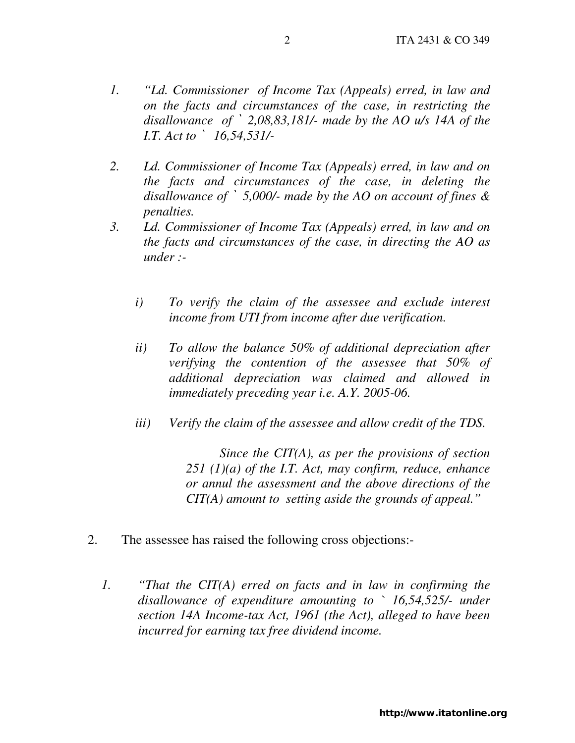- *1. "Ld. Commissioner of Income Tax (Appeals) erred, in law and on the facts and circumstances of the case, in restricting the disallowance of* ` *2,08,83,181/- made by the AO u/s 14A of the I.T. Act to* ` *16,54,531/-*
- *2. Ld. Commissioner of Income Tax (Appeals) erred, in law and on the facts and circumstances of the case, in deleting the disallowance of* ` *5,000/- made by the AO on account of fines & penalties.*
- *3. Ld. Commissioner of Income Tax (Appeals) erred, in law and on the facts and circumstances of the case, in directing the AO as under :* 
	- *i) To verify the claim of the assessee and exclude interest income from UTI from income after due verification.*
	- *ii) To allow the balance 50% of additional depreciation after verifying the contention of the assessee that 50% of additional depreciation was claimed and allowed in immediately preceding year i.e. A.Y. 2005-06.*
	- *iii) Verify the claim of the assessee and allow credit of the TDS.*

*Since the CIT(A), as per the provisions of section 251 (1)(a) of the I.T. Act, may confirm, reduce, enhance or annul the assessment and the above directions of the CIT(A) amount to setting aside the grounds of appeal."* 

- 2. The assessee has raised the following cross objections:-
	- *1. "That the CIT(A) erred on facts and in law in confirming the disallowance of expenditure amounting to ` 16,54,525/- under section 14A Income-tax Act, 1961 (the Act), alleged to have been incurred for earning tax free dividend income.*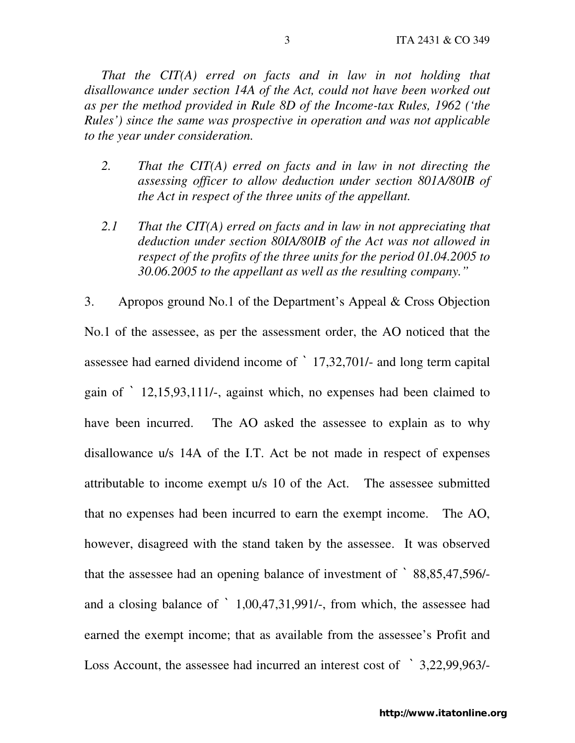*That the CIT(A) erred on facts and in law in not holding that disallowance under section 14A of the Act, could not have been worked out as per the method provided in Rule 8D of the Income-tax Rules, 1962 ('the Rules') since the same was prospective in operation and was not applicable to the year under consideration.* 

- *2. That the CIT(A) erred on facts and in law in not directing the assessing officer to allow deduction under section 801A/80IB of the Act in respect of the three units of the appellant.*
- *2.1 That the CIT(A) erred on facts and in law in not appreciating that deduction under section 80IA/80IB of the Act was not allowed in respect of the profits of the three units for the period 01.04.2005 to 30.06.2005 to the appellant as well as the resulting company."*

3. Apropos ground No.1 of the Department's Appeal & Cross Objection No.1 of the assessee, as per the assessment order, the AO noticed that the assessee had earned dividend income of ` 17,32,701/- and long term capital gain of ` 12,15,93,111/-, against which, no expenses had been claimed to have been incurred. The AO asked the assessee to explain as to why disallowance u/s 14A of the I.T. Act be not made in respect of expenses attributable to income exempt u/s 10 of the Act. The assessee submitted that no expenses had been incurred to earn the exempt income. The AO, however, disagreed with the stand taken by the assessee. It was observed that the assessee had an opening balance of investment of ` 88,85,47,596/ and a closing balance of ` 1,00,47,31,991/-, from which, the assessee had earned the exempt income; that as available from the assessee's Profit and Loss Account, the assessee had incurred an interest cost of ` 3,22,99,963/-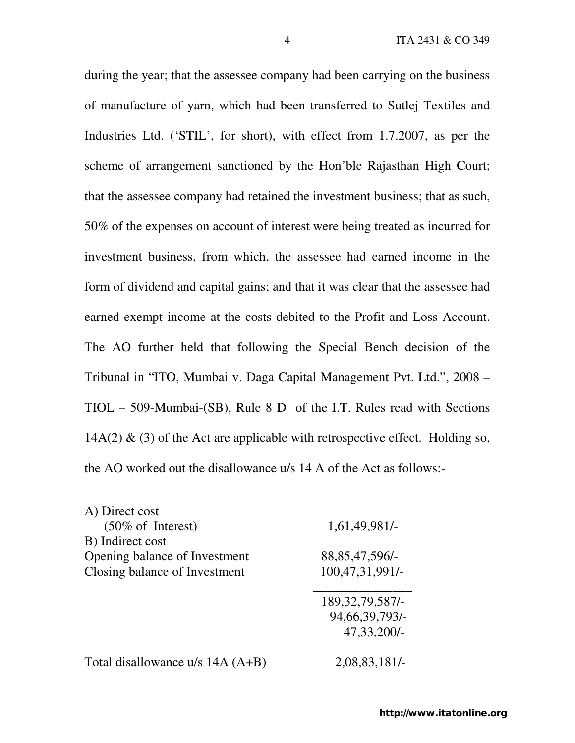during the year; that the assessee company had been carrying on the business of manufacture of yarn, which had been transferred to Sutlej Textiles and Industries Ltd. ('STIL', for short), with effect from 1.7.2007, as per the scheme of arrangement sanctioned by the Hon'ble Rajasthan High Court; that the assessee company had retained the investment business; that as such, 50% of the expenses on account of interest were being treated as incurred for investment business, from which, the assessee had earned income in the form of dividend and capital gains; and that it was clear that the assessee had earned exempt income at the costs debited to the Profit and Loss Account. The AO further held that following the Special Bench decision of the Tribunal in "ITO, Mumbai v. Daga Capital Management Pvt. Ltd.", 2008 – TIOL – 509-Mumbai-(SB), Rule 8 D of the I.T. Rules read with Sections  $14A(2)$  & (3) of the Act are applicable with retrospective effect. Holding so, the AO worked out the disallowance u/s 14 A of the Act as follows:-

| A) Direct cost                   |                    |
|----------------------------------|--------------------|
| $(50\% \text{ of Interest})$     | 1,61,49,981/-      |
| B) Indirect cost                 |                    |
| Opening balance of Investment    | 88, 85, 47, 596/-  |
| Closing balance of Investment    | 100,47,31,991/-    |
|                                  | 189, 32, 79, 587/- |
|                                  | 94, 66, 39, 793/-  |
|                                  | 47,33,200/-        |
| Total disallowance u/s 14A (A+B) | 2,08,83,181/-      |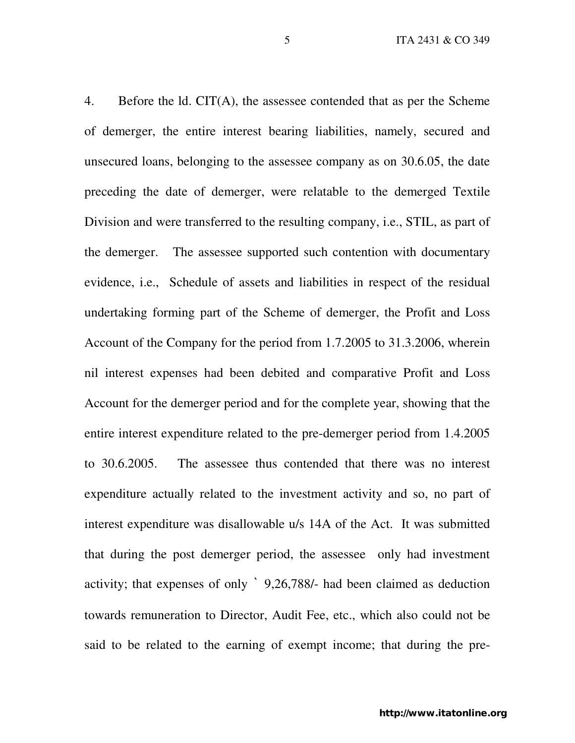4. Before the ld. CIT(A), the assessee contended that as per the Scheme of demerger, the entire interest bearing liabilities, namely, secured and unsecured loans, belonging to the assessee company as on 30.6.05, the date preceding the date of demerger, were relatable to the demerged Textile Division and were transferred to the resulting company, i.e., STIL, as part of the demerger. The assessee supported such contention with documentary evidence, i.e., Schedule of assets and liabilities in respect of the residual undertaking forming part of the Scheme of demerger, the Profit and Loss Account of the Company for the period from 1.7.2005 to 31.3.2006, wherein nil interest expenses had been debited and comparative Profit and Loss Account for the demerger period and for the complete year, showing that the entire interest expenditure related to the pre-demerger period from 1.4.2005 to 30.6.2005. The assessee thus contended that there was no interest expenditure actually related to the investment activity and so, no part of interest expenditure was disallowable u/s 14A of the Act. It was submitted that during the post demerger period, the assessee only had investment activity; that expenses of only ` 9,26,788/- had been claimed as deduction towards remuneration to Director, Audit Fee, etc., which also could not be said to be related to the earning of exempt income; that during the pre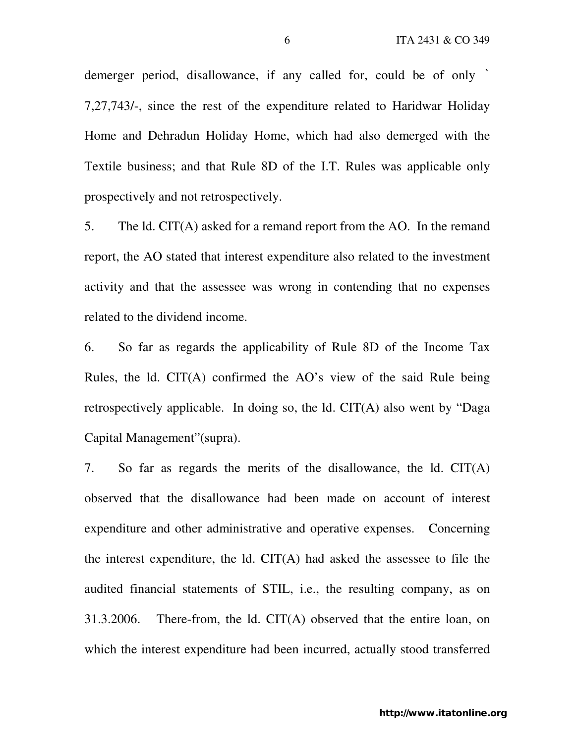demerger period, disallowance, if any called for, could be of only ` 7,27,743/-, since the rest of the expenditure related to Haridwar Holiday Home and Dehradun Holiday Home, which had also demerged with the Textile business; and that Rule 8D of the I.T. Rules was applicable only prospectively and not retrospectively.

5. The ld. CIT(A) asked for a remand report from the AO. In the remand report, the AO stated that interest expenditure also related to the investment activity and that the assessee was wrong in contending that no expenses related to the dividend income.

6. So far as regards the applicability of Rule 8D of the Income Tax Rules, the ld. CIT(A) confirmed the AO's view of the said Rule being retrospectively applicable. In doing so, the ld. CIT(A) also went by "Daga Capital Management"(supra).

7. So far as regards the merits of the disallowance, the ld. CIT(A) observed that the disallowance had been made on account of interest expenditure and other administrative and operative expenses. Concerning the interest expenditure, the ld. CIT(A) had asked the assessee to file the audited financial statements of STIL, i.e., the resulting company, as on 31.3.2006. There-from, the ld. CIT(A) observed that the entire loan, on which the interest expenditure had been incurred, actually stood transferred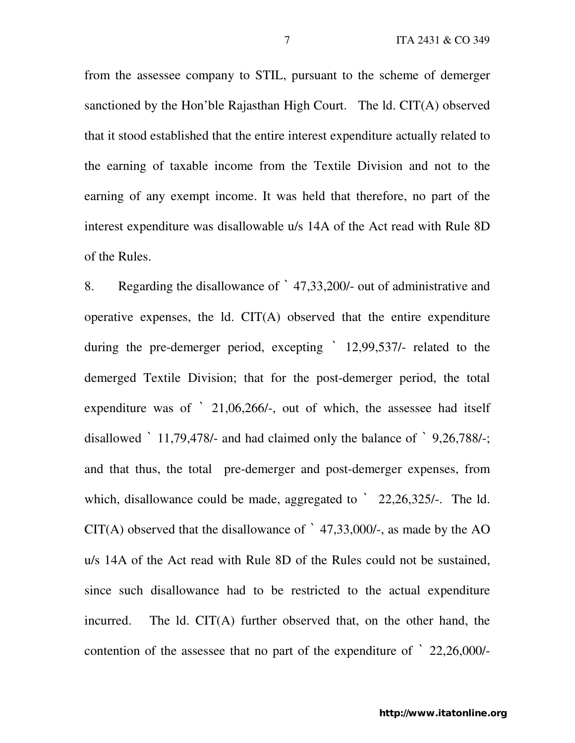from the assessee company to STIL, pursuant to the scheme of demerger sanctioned by the Hon'ble Rajasthan High Court. The ld. CIT(A) observed that it stood established that the entire interest expenditure actually related to the earning of taxable income from the Textile Division and not to the earning of any exempt income. It was held that therefore, no part of the interest expenditure was disallowable u/s 14A of the Act read with Rule 8D of the Rules.

8. Regarding the disallowance of ` 47,33,200/- out of administrative and operative expenses, the ld. CIT(A) observed that the entire expenditure during the pre-demerger period, excepting ` 12,99,537/- related to the demerged Textile Division; that for the post-demerger period, the total expenditure was of ` 21,06,266/-, out of which, the assessee had itself disallowed ` 11,79,478/- and had claimed only the balance of ` 9,26,788/-; and that thus, the total pre-demerger and post-demerger expenses, from which, disallowance could be made, aggregated to  $\degree$  22,26,325/-. The ld.  $CIT(A)$  observed that the disallowance of  $\dot{ }$  47,33,000/-, as made by the AO u/s 14A of the Act read with Rule 8D of the Rules could not be sustained, since such disallowance had to be restricted to the actual expenditure incurred. The ld. CIT(A) further observed that, on the other hand, the contention of the assessee that no part of the expenditure of ` 22,26,000/-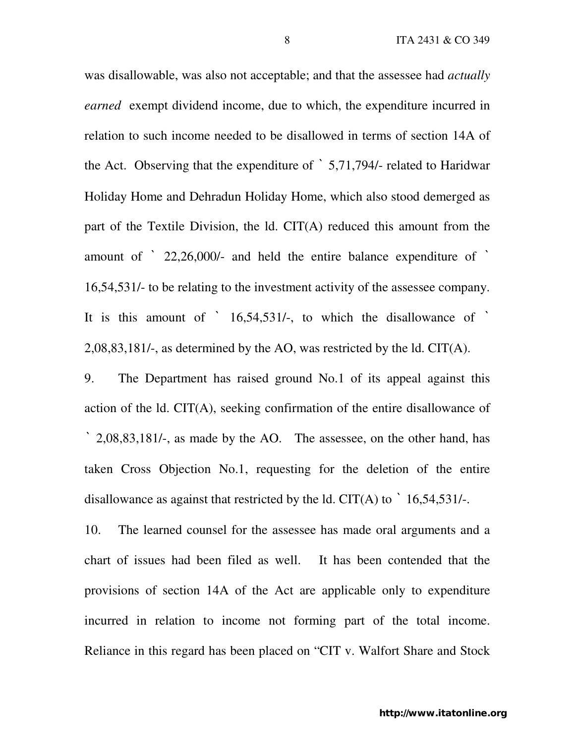was disallowable, was also not acceptable; and that the assessee had *actually earned* exempt dividend income, due to which, the expenditure incurred in relation to such income needed to be disallowed in terms of section 14A of the Act. Observing that the expenditure of ` 5,71,794/- related to Haridwar Holiday Home and Dehradun Holiday Home, which also stood demerged as part of the Textile Division, the ld. CIT(A) reduced this amount from the amount of ` 22,26,000/- and held the entire balance expenditure of ` 16,54,531/- to be relating to the investment activity of the assessee company. It is this amount of  $\dot{ }$  16,54,531/-, to which the disallowance of  $\dot{ }$ 2,08,83,181/-, as determined by the AO, was restricted by the ld. CIT(A).

9. The Department has raised ground No.1 of its appeal against this action of the ld. CIT(A), seeking confirmation of the entire disallowance of ` 2,08,83,181/-, as made by the AO. The assessee, on the other hand, has taken Cross Objection No.1, requesting for the deletion of the entire disallowance as against that restricted by the ld. CIT(A) to  $\dot{ }$  16,54,531/-.

10. The learned counsel for the assessee has made oral arguments and a chart of issues had been filed as well. It has been contended that the provisions of section 14A of the Act are applicable only to expenditure incurred in relation to income not forming part of the total income. Reliance in this regard has been placed on "CIT v. Walfort Share and Stock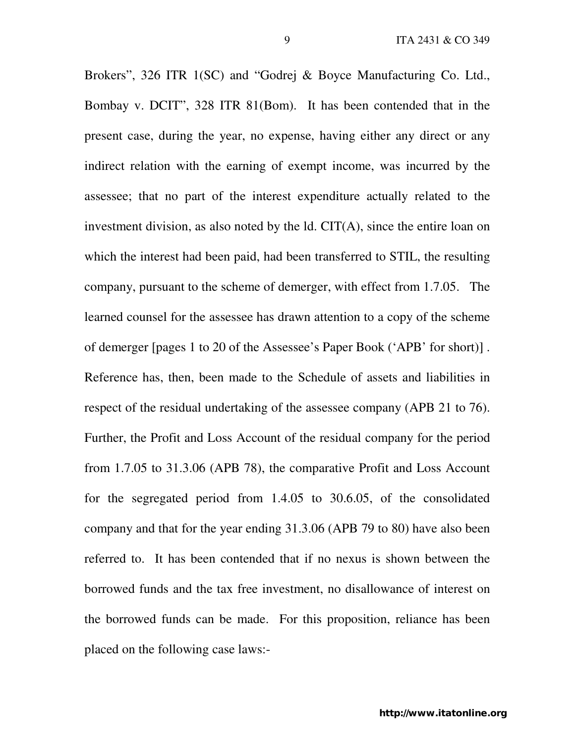Brokers", 326 ITR 1(SC) and "Godrej & Boyce Manufacturing Co. Ltd., Bombay v. DCIT", 328 ITR 81(Bom). It has been contended that in the present case, during the year, no expense, having either any direct or any indirect relation with the earning of exempt income, was incurred by the assessee; that no part of the interest expenditure actually related to the investment division, as also noted by the ld. CIT(A), since the entire loan on which the interest had been paid, had been transferred to STIL, the resulting company, pursuant to the scheme of demerger, with effect from 1.7.05. The learned counsel for the assessee has drawn attention to a copy of the scheme of demerger [pages 1 to 20 of the Assessee's Paper Book ('APB' for short)] . Reference has, then, been made to the Schedule of assets and liabilities in respect of the residual undertaking of the assessee company (APB 21 to 76). Further, the Profit and Loss Account of the residual company for the period from 1.7.05 to 31.3.06 (APB 78), the comparative Profit and Loss Account for the segregated period from 1.4.05 to 30.6.05, of the consolidated company and that for the year ending 31.3.06 (APB 79 to 80) have also been referred to. It has been contended that if no nexus is shown between the borrowed funds and the tax free investment, no disallowance of interest on the borrowed funds can be made. For this proposition, reliance has been placed on the following case laws:-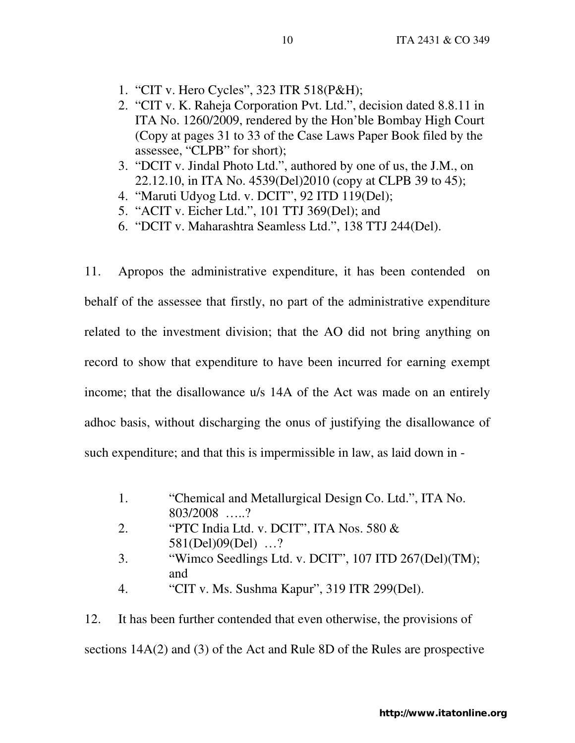- 1. "CIT v. Hero Cycles", 323 ITR 518(P&H);
- 2. "CIT v. K. Raheja Corporation Pvt. Ltd.", decision dated 8.8.11 in ITA No. 1260/2009, rendered by the Hon'ble Bombay High Court (Copy at pages 31 to 33 of the Case Laws Paper Book filed by the assessee, "CLPB" for short);
- 3. "DCIT v. Jindal Photo Ltd.", authored by one of us, the J.M., on 22.12.10, in ITA No. 4539(Del)2010 (copy at CLPB 39 to 45);
- 4. "Maruti Udyog Ltd. v. DCIT", 92 ITD 119(Del);
- 5. "ACIT v. Eicher Ltd.", 101 TTJ 369(Del); and
- 6. "DCIT v. Maharashtra Seamless Ltd.", 138 TTJ 244(Del).

11. Apropos the administrative expenditure, it has been contended on behalf of the assessee that firstly, no part of the administrative expenditure related to the investment division; that the AO did not bring anything on record to show that expenditure to have been incurred for earning exempt income; that the disallowance u/s 14A of the Act was made on an entirely adhoc basis, without discharging the onus of justifying the disallowance of such expenditure; and that this is impermissible in law, as laid down in -

- 1. "Chemical and Metallurgical Design Co. Ltd.", ITA No. 803/2008 …..?
- 2. "PTC India Ltd. v. DCIT", ITA Nos. 580 & 581(Del)09(Del) …?
- 3. "Wimco Seedlings Ltd. v. DCIT", 107 ITD 267(Del)(TM); and
- 4. "CIT v. Ms. Sushma Kapur", 319 ITR 299(Del).

12. It has been further contended that even otherwise, the provisions of sections 14A(2) and (3) of the Act and Rule 8D of the Rules are prospective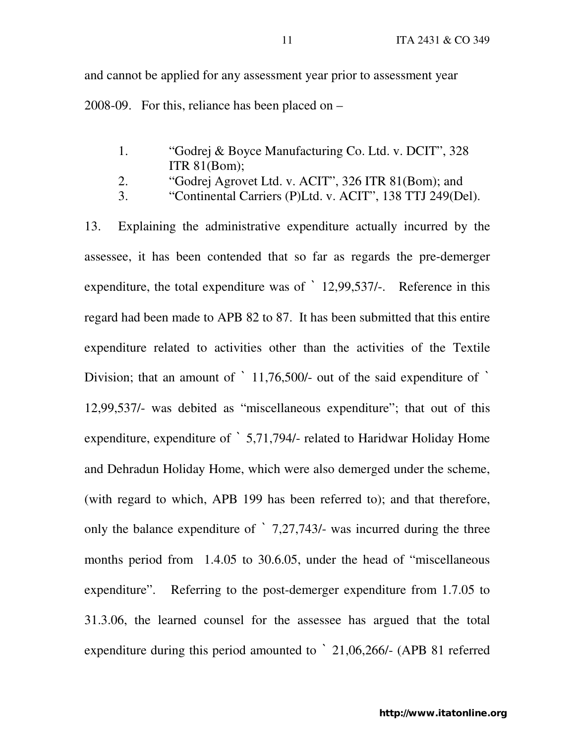and cannot be applied for any assessment year prior to assessment year 2008-09. For this, reliance has been placed on –

- 1. "Godrej & Boyce Manufacturing Co. Ltd. v. DCIT", 328 ITR 81(Bom);
- 2. "Godrej Agrovet Ltd. v. ACIT", 326 ITR 81(Bom); and
- 3. "Continental Carriers (P)Ltd. v. ACIT", 138 TTJ 249(Del).

13. Explaining the administrative expenditure actually incurred by the assessee, it has been contended that so far as regards the pre-demerger expenditure, the total expenditure was of ` 12,99,537/-. Reference in this regard had been made to APB 82 to 87. It has been submitted that this entire expenditure related to activities other than the activities of the Textile Division; that an amount of ` 11,76,500/- out of the said expenditure of ` 12,99,537/- was debited as "miscellaneous expenditure"; that out of this expenditure, expenditure of ` 5,71,794/- related to Haridwar Holiday Home and Dehradun Holiday Home, which were also demerged under the scheme, (with regard to which, APB 199 has been referred to); and that therefore, only the balance expenditure of ` 7,27,743/- was incurred during the three months period from 1.4.05 to 30.6.05, under the head of "miscellaneous expenditure". Referring to the post-demerger expenditure from 1.7.05 to 31.3.06, the learned counsel for the assessee has argued that the total expenditure during this period amounted to ` 21,06,266/- (APB 81 referred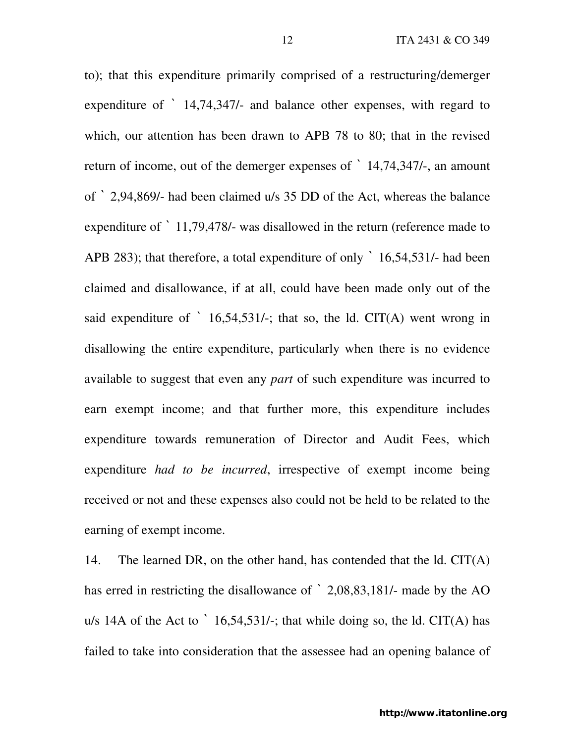to); that this expenditure primarily comprised of a restructuring/demerger expenditure of ` 14,74,347/- and balance other expenses, with regard to which, our attention has been drawn to APB 78 to 80; that in the revised return of income, out of the demerger expenses of ` 14,74,347/-, an amount of ` 2,94,869/- had been claimed u/s 35 DD of the Act, whereas the balance expenditure of ` 11,79,478/- was disallowed in the return (reference made to APB 283); that therefore, a total expenditure of only  $\degree$  16,54,531/- had been claimed and disallowance, if at all, could have been made only out of the said expenditure of  $\dot{ }$  16,54,531/-; that so, the ld. CIT(A) went wrong in disallowing the entire expenditure, particularly when there is no evidence available to suggest that even any *part* of such expenditure was incurred to earn exempt income; and that further more, this expenditure includes expenditure towards remuneration of Director and Audit Fees, which expenditure *had to be incurred*, irrespective of exempt income being received or not and these expenses also could not be held to be related to the earning of exempt income.

14. The learned DR, on the other hand, has contended that the ld. CIT(A) has erred in restricting the disallowance of ` 2,08,83,181/- made by the AO u/s 14A of the Act to  $\dot{\phantom{a}}$  16,54,531/-; that while doing so, the ld. CIT(A) has failed to take into consideration that the assessee had an opening balance of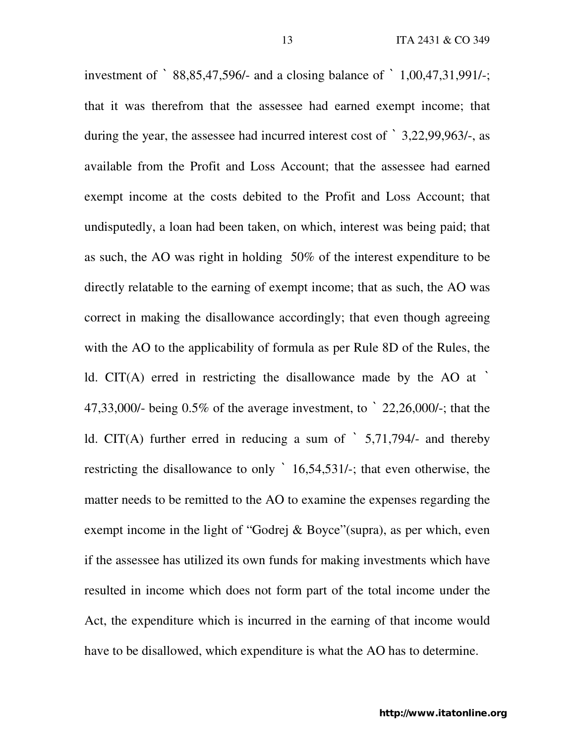investment of ` 88,85,47,596/- and a closing balance of ` 1,00,47,31,991/-; that it was therefrom that the assessee had earned exempt income; that during the year, the assessee had incurred interest cost of ` 3,22,99,963/-, as available from the Profit and Loss Account; that the assessee had earned exempt income at the costs debited to the Profit and Loss Account; that undisputedly, a loan had been taken, on which, interest was being paid; that as such, the AO was right in holding 50% of the interest expenditure to be directly relatable to the earning of exempt income; that as such, the AO was correct in making the disallowance accordingly; that even though agreeing with the AO to the applicability of formula as per Rule 8D of the Rules, the ld. CIT(A) erred in restricting the disallowance made by the AO at ` 47,33,000/- being 0.5% of the average investment, to ` 22,26,000/-; that the ld. CIT(A) further erred in reducing a sum of  $\dot{5}$ ,71,794/- and thereby restricting the disallowance to only ` 16,54,531/-; that even otherwise, the matter needs to be remitted to the AO to examine the expenses regarding the exempt income in the light of "Godrej & Boyce"(supra), as per which, even if the assessee has utilized its own funds for making investments which have resulted in income which does not form part of the total income under the Act, the expenditure which is incurred in the earning of that income would have to be disallowed, which expenditure is what the AO has to determine.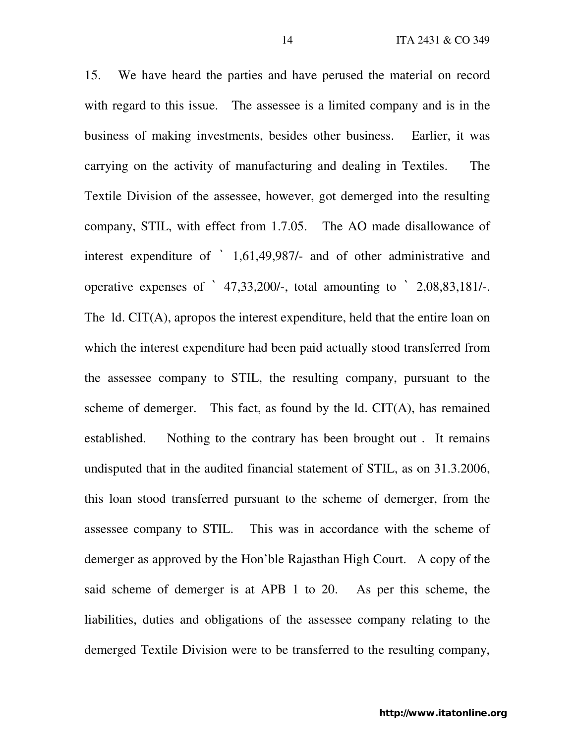15. We have heard the parties and have perused the material on record with regard to this issue. The assessee is a limited company and is in the business of making investments, besides other business. Earlier, it was carrying on the activity of manufacturing and dealing in Textiles. The Textile Division of the assessee, however, got demerged into the resulting company, STIL, with effect from 1.7.05. The AO made disallowance of interest expenditure of ` 1,61,49,987/- and of other administrative and operative expenses of ` 47,33,200/-, total amounting to ` 2,08,83,181/-. The ld. CIT(A), apropos the interest expenditure, held that the entire loan on which the interest expenditure had been paid actually stood transferred from the assessee company to STIL, the resulting company, pursuant to the scheme of demerger. This fact, as found by the  $Id.$  CIT(A), has remained established. Nothing to the contrary has been brought out . It remains undisputed that in the audited financial statement of STIL, as on 31.3.2006, this loan stood transferred pursuant to the scheme of demerger, from the assessee company to STIL. This was in accordance with the scheme of demerger as approved by the Hon'ble Rajasthan High Court. A copy of the said scheme of demerger is at APB 1 to 20. As per this scheme, the liabilities, duties and obligations of the assessee company relating to the demerged Textile Division were to be transferred to the resulting company,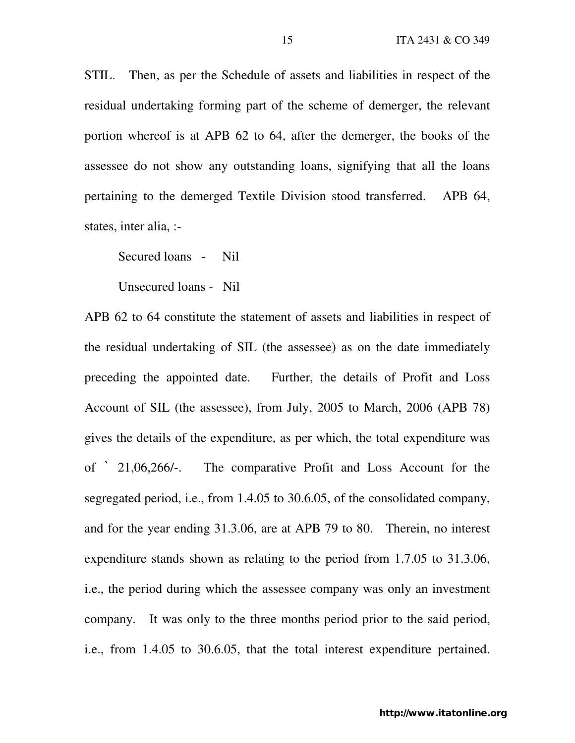STIL. Then, as per the Schedule of assets and liabilities in respect of the residual undertaking forming part of the scheme of demerger, the relevant portion whereof is at APB 62 to 64, after the demerger, the books of the assessee do not show any outstanding loans, signifying that all the loans pertaining to the demerged Textile Division stood transferred. APB 64, states, inter alia, :-

Secured loans - Nil

Unsecured loans - Nil

APB 62 to 64 constitute the statement of assets and liabilities in respect of the residual undertaking of SIL (the assessee) as on the date immediately preceding the appointed date. Further, the details of Profit and Loss Account of SIL (the assessee), from July, 2005 to March, 2006 (APB 78) gives the details of the expenditure, as per which, the total expenditure was of ` 21,06,266/-. The comparative Profit and Loss Account for the segregated period, i.e., from 1.4.05 to 30.6.05, of the consolidated company, and for the year ending 31.3.06, are at APB 79 to 80. Therein, no interest expenditure stands shown as relating to the period from 1.7.05 to 31.3.06, i.e., the period during which the assessee company was only an investment company. It was only to the three months period prior to the said period, i.e., from 1.4.05 to 30.6.05, that the total interest expenditure pertained.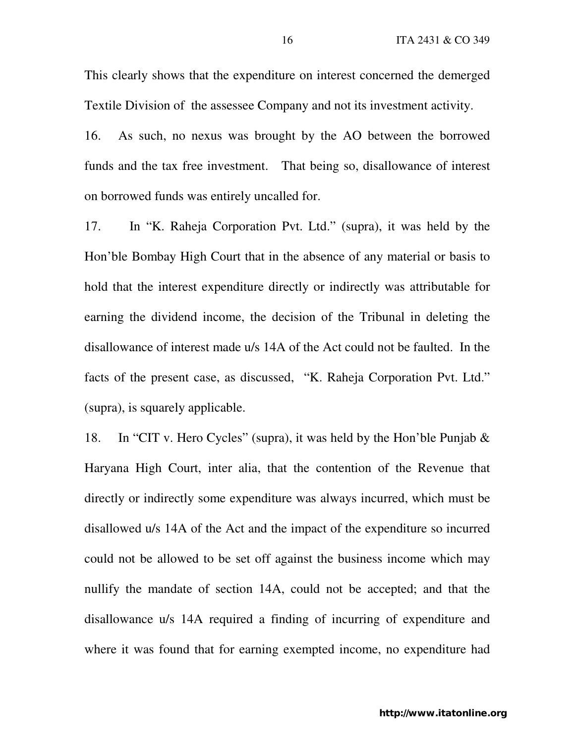This clearly shows that the expenditure on interest concerned the demerged Textile Division of the assessee Company and not its investment activity.

16. As such, no nexus was brought by the AO between the borrowed funds and the tax free investment. That being so, disallowance of interest on borrowed funds was entirely uncalled for.

17. In "K. Raheja Corporation Pvt. Ltd." (supra), it was held by the Hon'ble Bombay High Court that in the absence of any material or basis to hold that the interest expenditure directly or indirectly was attributable for earning the dividend income, the decision of the Tribunal in deleting the disallowance of interest made u/s 14A of the Act could not be faulted. In the facts of the present case, as discussed, "K. Raheja Corporation Pvt. Ltd." (supra), is squarely applicable.

18. In "CIT v. Hero Cycles" (supra), it was held by the Hon'ble Punjab & Haryana High Court, inter alia, that the contention of the Revenue that directly or indirectly some expenditure was always incurred, which must be disallowed u/s 14A of the Act and the impact of the expenditure so incurred could not be allowed to be set off against the business income which may nullify the mandate of section 14A, could not be accepted; and that the disallowance u/s 14A required a finding of incurring of expenditure and where it was found that for earning exempted income, no expenditure had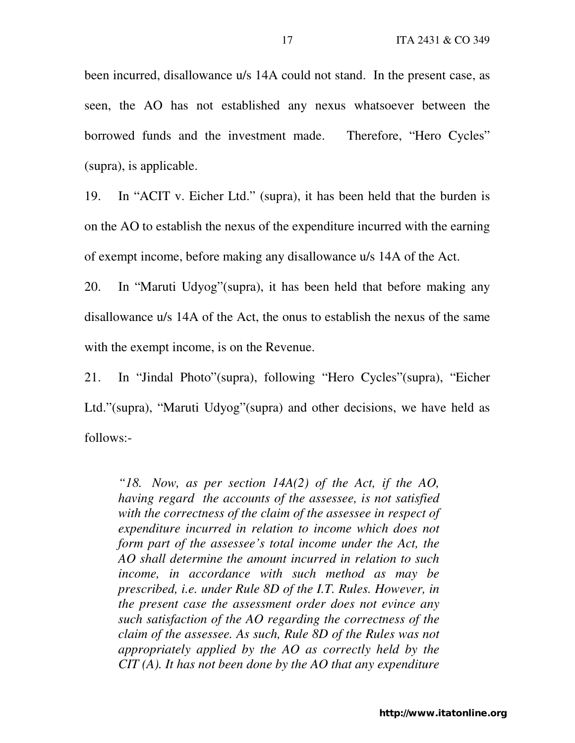been incurred, disallowance u/s 14A could not stand. In the present case, as seen, the AO has not established any nexus whatsoever between the borrowed funds and the investment made. Therefore, "Hero Cycles" (supra), is applicable.

19. In "ACIT v. Eicher Ltd." (supra), it has been held that the burden is on the AO to establish the nexus of the expenditure incurred with the earning of exempt income, before making any disallowance u/s 14A of the Act.

20. In "Maruti Udyog"(supra), it has been held that before making any disallowance u/s 14A of the Act, the onus to establish the nexus of the same with the exempt income, is on the Revenue.

21. In "Jindal Photo"(supra), following "Hero Cycles"(supra), "Eicher Ltd."(supra), "Maruti Udyog"(supra) and other decisions, we have held as follows:-

*"18. Now, as per section 14A(2) of the Act, if the AO, having regard the accounts of the assessee, is not satisfied with the correctness of the claim of the assessee in respect of expenditure incurred in relation to income which does not form part of the assessee's total income under the Act, the AO shall determine the amount incurred in relation to such income, in accordance with such method as may be prescribed, i.e. under Rule 8D of the I.T. Rules. However, in the present case the assessment order does not evince any such satisfaction of the AO regarding the correctness of the claim of the assessee. As such, Rule 8D of the Rules was not appropriately applied by the AO as correctly held by the CIT (A). It has not been done by the AO that any expenditure*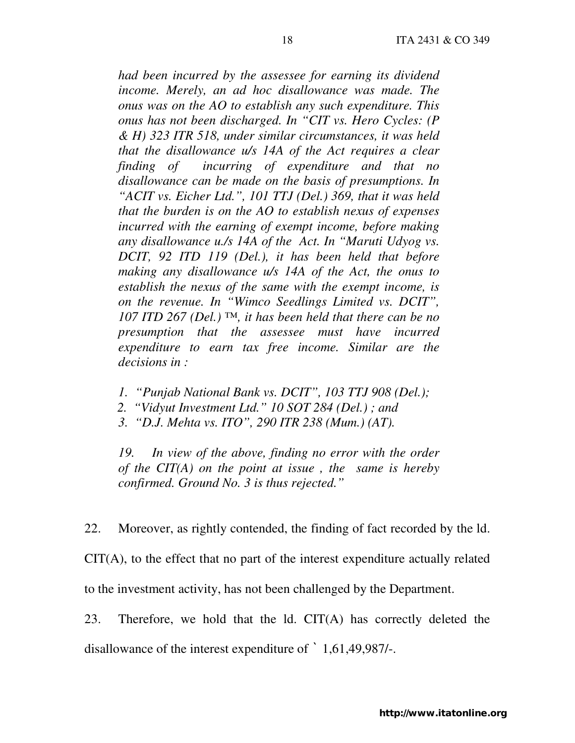*had been incurred by the assessee for earning its dividend income. Merely, an ad hoc disallowance was made. The onus was on the AO to establish any such expenditure. This onus has not been discharged. In "CIT vs. Hero Cycles: (P & H) 323 ITR 518, under similar circumstances, it was held that the disallowance u/s 14A of the Act requires a clear finding of incurring of expenditure and that no disallowance can be made on the basis of presumptions. In "ACIT vs. Eicher Ltd.", 101 TTJ (Del.) 369, that it was held that the burden is on the AO to establish nexus of expenses incurred with the earning of exempt income, before making any disallowance u./s 14A of the Act. In "Maruti Udyog vs. DCIT, 92 ITD 119 (Del.), it has been held that before making any disallowance u/s 14A of the Act, the onus to establish the nexus of the same with the exempt income, is on the revenue. In "Wimco Seedlings Limited vs. DCIT", 107 ITD 267 (Del.) ™, it has been held that there can be no presumption that the assessee must have incurred expenditure to earn tax free income. Similar are the decisions in :* 

- *1. "Punjab National Bank vs. DCIT", 103 TTJ 908 (Del.);*
- *2. "Vidyut Investment Ltd." 10 SOT 284 (Del.) ; and*
- *3. "D.J. Mehta vs. ITO", 290 ITR 238 (Mum.) (AT).*

*19. In view of the above, finding no error with the order of the CIT(A) on the point at issue , the same is hereby confirmed. Ground No. 3 is thus rejected."* 

22. Moreover, as rightly contended, the finding of fact recorded by the ld.

CIT(A), to the effect that no part of the interest expenditure actually related

to the investment activity, has not been challenged by the Department.

23. Therefore, we hold that the ld. CIT(A) has correctly deleted the disallowance of the interest expenditure of ` 1,61,49,987/-.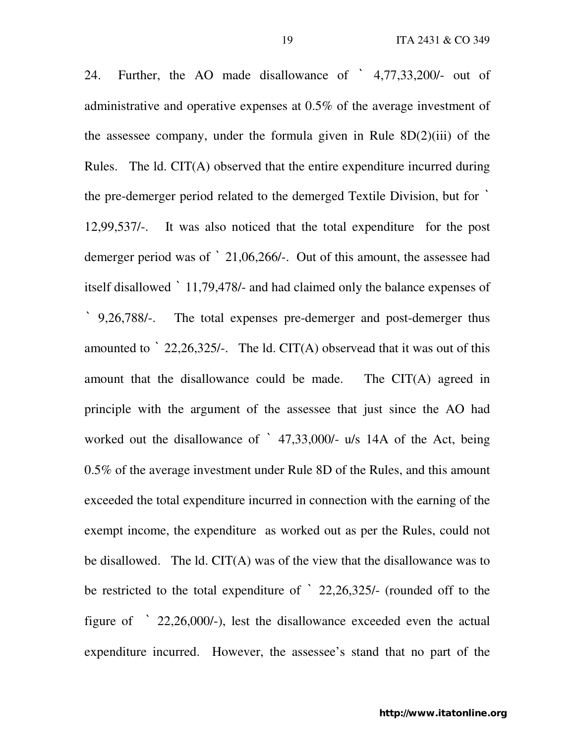24. Further, the AO made disallowance of ` 4,77,33,200/- out of administrative and operative expenses at 0.5% of the average investment of the assessee company, under the formula given in Rule  $8D(2)(iii)$  of the Rules. The ld. CIT(A) observed that the entire expenditure incurred during the pre-demerger period related to the demerged Textile Division, but for ` 12,99,537/-. It was also noticed that the total expenditure for the post demerger period was of ` 21,06,266/-. Out of this amount, the assessee had itself disallowed ` 11,79,478/- and had claimed only the balance expenses of ` 9,26,788/-. The total expenses pre-demerger and post-demerger thus amounted to  $\degree$  22,26,325/-. The ld. CIT(A) observead that it was out of this amount that the disallowance could be made. The CIT(A) agreed in principle with the argument of the assessee that just since the AO had worked out the disallowance of ` 47,33,000/- u/s 14A of the Act, being 0.5% of the average investment under Rule 8D of the Rules, and this amount exceeded the total expenditure incurred in connection with the earning of the exempt income, the expenditure as worked out as per the Rules, could not be disallowed. The ld. CIT(A) was of the view that the disallowance was to be restricted to the total expenditure of ` 22,26,325/- (rounded off to the figure of ` 22,26,000/-), lest the disallowance exceeded even the actual expenditure incurred. However, the assessee's stand that no part of the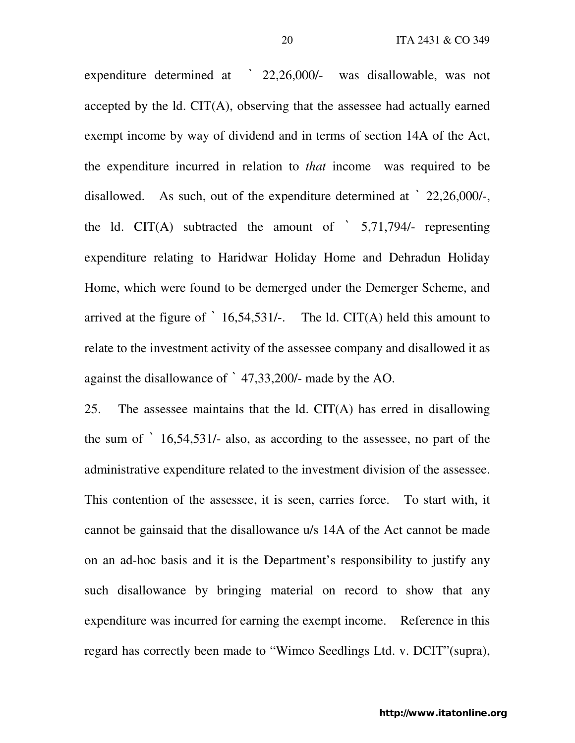expenditure determined at ` 22,26,000/- was disallowable, was not accepted by the ld. CIT(A), observing that the assessee had actually earned exempt income by way of dividend and in terms of section 14A of the Act, the expenditure incurred in relation to *that* income was required to be disallowed. As such, out of the expenditure determined at ` 22,26,000/-, the ld. CIT(A) subtracted the amount of  $\dot{5}$ ,71,794/- representing expenditure relating to Haridwar Holiday Home and Dehradun Holiday Home, which were found to be demerged under the Demerger Scheme, and arrived at the figure of  $\dot{\phantom{a}}$  16,54,531/-. The ld. CIT(A) held this amount to relate to the investment activity of the assessee company and disallowed it as against the disallowance of ` 47,33,200/- made by the AO.

25. The assessee maintains that the ld. CIT(A) has erred in disallowing the sum of ` 16,54,531/- also, as according to the assessee, no part of the administrative expenditure related to the investment division of the assessee. This contention of the assessee, it is seen, carries force. To start with, it cannot be gainsaid that the disallowance u/s 14A of the Act cannot be made on an ad-hoc basis and it is the Department's responsibility to justify any such disallowance by bringing material on record to show that any expenditure was incurred for earning the exempt income. Reference in this regard has correctly been made to "Wimco Seedlings Ltd. v. DCIT"(supra),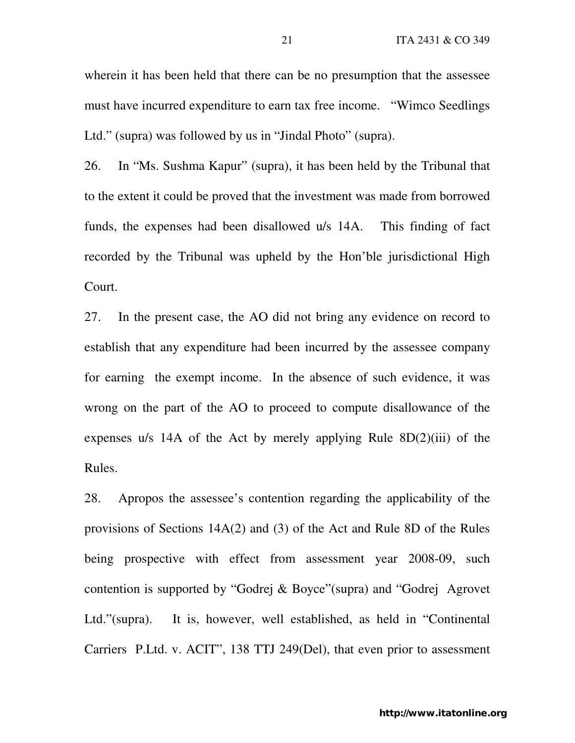wherein it has been held that there can be no presumption that the assessee must have incurred expenditure to earn tax free income. "Wimco Seedlings Ltd." (supra) was followed by us in "Jindal Photo" (supra).

26. In "Ms. Sushma Kapur" (supra), it has been held by the Tribunal that to the extent it could be proved that the investment was made from borrowed funds, the expenses had been disallowed u/s 14A. This finding of fact recorded by the Tribunal was upheld by the Hon'ble jurisdictional High Court.

27. In the present case, the AO did not bring any evidence on record to establish that any expenditure had been incurred by the assessee company for earning the exempt income. In the absence of such evidence, it was wrong on the part of the AO to proceed to compute disallowance of the expenses u/s 14A of the Act by merely applying Rule  $8D(2)(iii)$  of the Rules.

28. Apropos the assessee's contention regarding the applicability of the provisions of Sections 14A(2) and (3) of the Act and Rule 8D of the Rules being prospective with effect from assessment year 2008-09, such contention is supported by "Godrej & Boyce"(supra) and "Godrej Agrovet Ltd."(supra). It is, however, well established, as held in "Continental Carriers P.Ltd. v. ACIT", 138 TTJ 249(Del), that even prior to assessment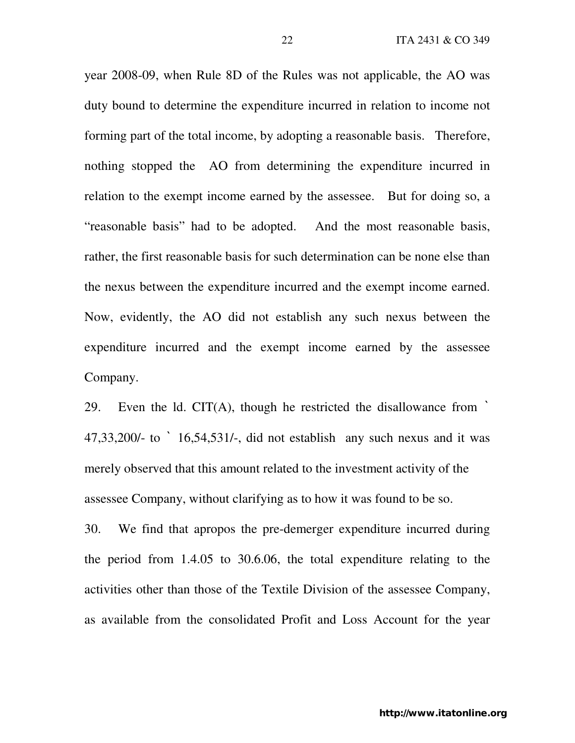year 2008-09, when Rule 8D of the Rules was not applicable, the AO was duty bound to determine the expenditure incurred in relation to income not forming part of the total income, by adopting a reasonable basis. Therefore, nothing stopped the AO from determining the expenditure incurred in relation to the exempt income earned by the assessee. But for doing so, a "reasonable basis" had to be adopted. And the most reasonable basis, rather, the first reasonable basis for such determination can be none else than the nexus between the expenditure incurred and the exempt income earned. Now, evidently, the AO did not establish any such nexus between the expenditure incurred and the exempt income earned by the assessee Company.

29. Even the ld. CIT(A), though he restricted the disallowance from  $\dot{\phantom{a}}$ 47,33,200/- to ` 16,54,531/-, did not establish any such nexus and it was merely observed that this amount related to the investment activity of the assessee Company, without clarifying as to how it was found to be so.

30. We find that apropos the pre-demerger expenditure incurred during the period from 1.4.05 to 30.6.06, the total expenditure relating to the activities other than those of the Textile Division of the assessee Company, as available from the consolidated Profit and Loss Account for the year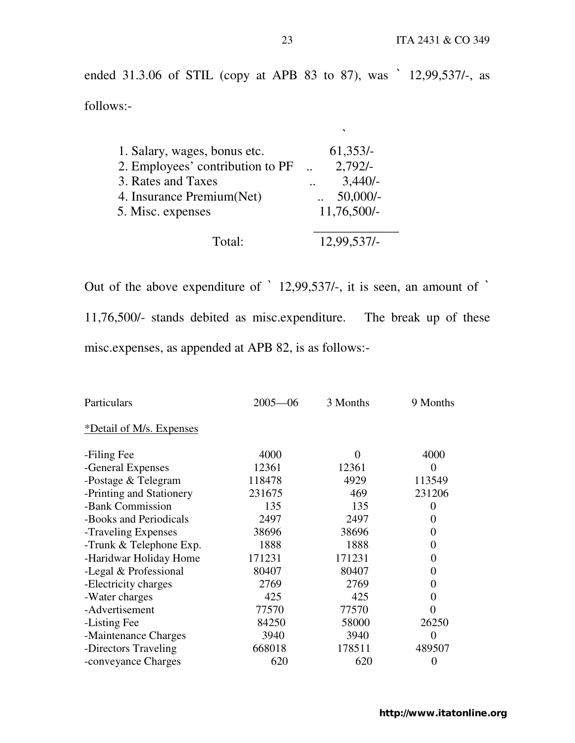ended 31.3.06 of STIL (copy at APB 83 to 87), was ` 12,99,537/-, as follows:-

| 1. Salary, wages, bonus etc.     | $61,353/-$    |
|----------------------------------|---------------|
| 2. Employees' contribution to PF | $2,792/-$     |
| 3. Rates and Taxes               | $3,440/-$     |
| 4. Insurance Premium (Net)       | $50,000/-$    |
| 5. Misc. expenses                | $11,76,500/-$ |
| $\text{Total}^{\star}$           | 12,99.537/-   |

Out of the above expenditure of ` 12,99,537/-, it is seen, an amount of ` 11,76,500/- stands debited as misc.expenditure. The break up of these misc.expenses, as appended at APB 82, is as follows:-

| Particulars              | $2005 - 06$ | 3 Months | 9 Months       |
|--------------------------|-------------|----------|----------------|
| *Detail of M/s. Expenses |             |          |                |
| -Filing Fee              | 4000        | 0        | 4000           |
| -General Expenses        | 12361       | 12361    | $\theta$       |
| -Postage & Telegram      | 118478      | 4929     | 113549         |
| -Printing and Stationery | 231675      | 469      | 231206         |
| -Bank Commission         | 135         | 135      | 0              |
| -Books and Periodicals   | 2497        | 2497     | 0              |
| -Traveling Expenses      | 38696       | 38696    | 0              |
| -Trunk & Telephone Exp.  | 1888        | 1888     | $\theta$       |
| -Haridwar Holiday Home   | 171231      | 171231   | $\theta$       |
| -Legal & Professional    | 80407       | 80407    | 0              |
| -Electricity charges     | 2769        | 2769     | 0              |
| -Water charges           | 425         | 425      | 0              |
| -Advertisement           | 77570       | 77570    | 0              |
| -Listing Fee             | 84250       | 58000    | 26250          |
| -Maintenance Charges     | 3940        | 3940     | $\Omega$       |
| -Directors Traveling     | 668018      | 178511   | 489507         |
| -conveyance Charges      | 620         | 620      | $\overline{0}$ |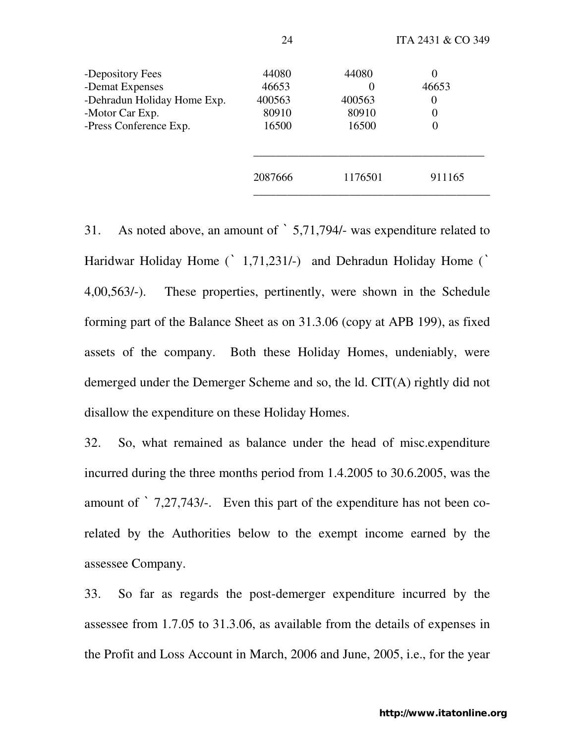| -Depository Fees            | 44080   | 44080   | U                |
|-----------------------------|---------|---------|------------------|
| -Demat Expenses             | 46653   |         | 46653            |
| -Dehradun Holiday Home Exp. | 400563  | 400563  | 0                |
| -Motor Car Exp.             | 80910   | 80910   | 0                |
| -Press Conference Exp.      | 16500   | 16500   | $\boldsymbol{0}$ |
|                             |         |         |                  |
|                             | 2087666 | 1176501 | 911165           |
|                             |         |         |                  |

31. As noted above, an amount of ` 5,71,794/- was expenditure related to Haridwar Holiday Home (` 1,71,231/-) and Dehradun Holiday Home (` 4,00,563/-). These properties, pertinently, were shown in the Schedule forming part of the Balance Sheet as on 31.3.06 (copy at APB 199), as fixed assets of the company. Both these Holiday Homes, undeniably, were demerged under the Demerger Scheme and so, the ld. CIT(A) rightly did not disallow the expenditure on these Holiday Homes.

32. So, what remained as balance under the head of misc.expenditure incurred during the three months period from 1.4.2005 to 30.6.2005, was the amount of ` 7,27,743/-. Even this part of the expenditure has not been corelated by the Authorities below to the exempt income earned by the assessee Company.

33. So far as regards the post-demerger expenditure incurred by the assessee from 1.7.05 to 31.3.06, as available from the details of expenses in the Profit and Loss Account in March, 2006 and June, 2005, i.e., for the year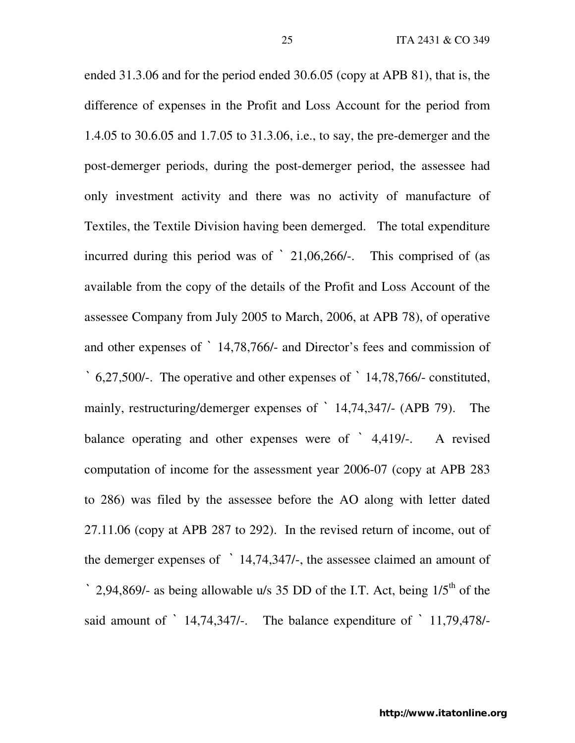ended 31.3.06 and for the period ended 30.6.05 (copy at APB 81), that is, the difference of expenses in the Profit and Loss Account for the period from 1.4.05 to 30.6.05 and 1.7.05 to 31.3.06, i.e., to say, the pre-demerger and the post-demerger periods, during the post-demerger period, the assessee had only investment activity and there was no activity of manufacture of Textiles, the Textile Division having been demerged. The total expenditure incurred during this period was of ` 21,06,266/-. This comprised of (as available from the copy of the details of the Profit and Loss Account of the assessee Company from July 2005 to March, 2006, at APB 78), of operative and other expenses of ` 14,78,766/- and Director's fees and commission of ` 6,27,500/-. The operative and other expenses of ` 14,78,766/- constituted, mainly, restructuring/demerger expenses of ` 14,74,347/- (APB 79). The balance operating and other expenses were of ` 4,419/-. A revised computation of income for the assessment year 2006-07 (copy at APB 283 to 286) was filed by the assessee before the AO along with letter dated 27.11.06 (copy at APB 287 to 292). In the revised return of income, out of the demerger expenses of ` 14,74,347/-, the assessee claimed an amount of  $\degree$  2,94,869/- as being allowable u/s 35 DD of the I.T. Act, being  $1/5<sup>th</sup>$  of the said amount of ` 14,74,347/-. The balance expenditure of ` 11,79,478/-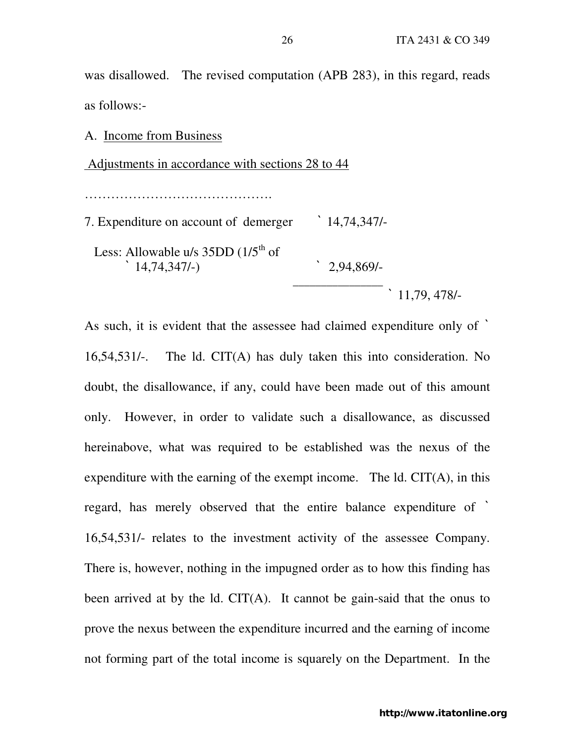was disallowed. The revised computation (APB 283), in this regard, reads as follows:-

A. Income from Business Adjustments in accordance with sections 28 to 44 …………………………………………… 7. Expenditure on account of demerger ` 14,74,347/- Less: Allowable u/s  $35DD(1/5<sup>th</sup>$  of ` 14,74,347/-) ` 2,94,869/-  $\mathcal{L}_\text{max}$  , which is a set of the set of the set of the set of the set of the set of the set of the set of the set of the set of the set of the set of the set of the set of the set of the set of the set of the set of ` 11,79, 478/-

As such, it is evident that the assessee had claimed expenditure only of ` 16,54,531/-. The ld. CIT(A) has duly taken this into consideration. No doubt, the disallowance, if any, could have been made out of this amount only. However, in order to validate such a disallowance, as discussed hereinabove, what was required to be established was the nexus of the expenditure with the earning of the exempt income. The  $ld$ . CIT(A), in this regard, has merely observed that the entire balance expenditure of ` 16,54,531/- relates to the investment activity of the assessee Company. There is, however, nothing in the impugned order as to how this finding has been arrived at by the ld. CIT(A). It cannot be gain-said that the onus to prove the nexus between the expenditure incurred and the earning of income not forming part of the total income is squarely on the Department. In the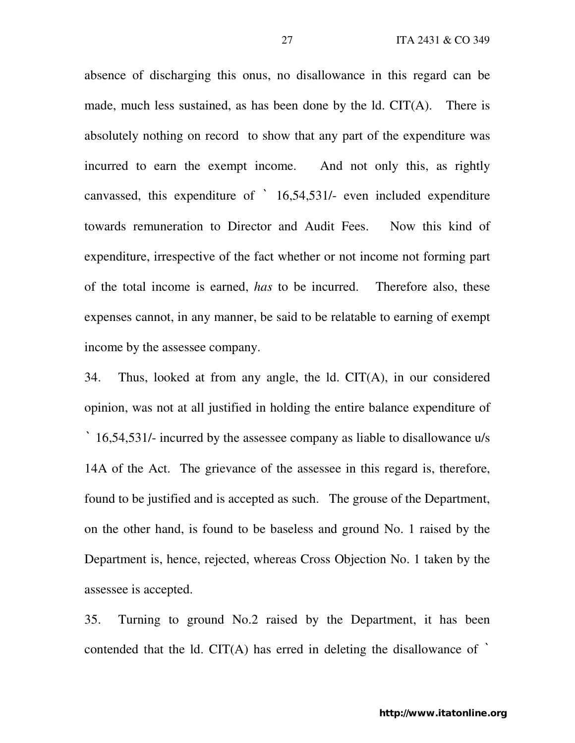absence of discharging this onus, no disallowance in this regard can be made, much less sustained, as has been done by the ld. CIT(A). There is absolutely nothing on record to show that any part of the expenditure was incurred to earn the exempt income. And not only this, as rightly canvassed, this expenditure of ` 16,54,531/- even included expenditure towards remuneration to Director and Audit Fees. Now this kind of expenditure, irrespective of the fact whether or not income not forming part of the total income is earned, *has* to be incurred. Therefore also, these expenses cannot, in any manner, be said to be relatable to earning of exempt income by the assessee company.

34. Thus, looked at from any angle, the ld. CIT(A), in our considered opinion, was not at all justified in holding the entire balance expenditure of ` 16,54,531/- incurred by the assessee company as liable to disallowance u/s 14A of the Act. The grievance of the assessee in this regard is, therefore, found to be justified and is accepted as such. The grouse of the Department, on the other hand, is found to be baseless and ground No. 1 raised by the Department is, hence, rejected, whereas Cross Objection No. 1 taken by the assessee is accepted.

35. Turning to ground No.2 raised by the Department, it has been contended that the ld.  $CIT(A)$  has erred in deleting the disallowance of  $\dot{\ }$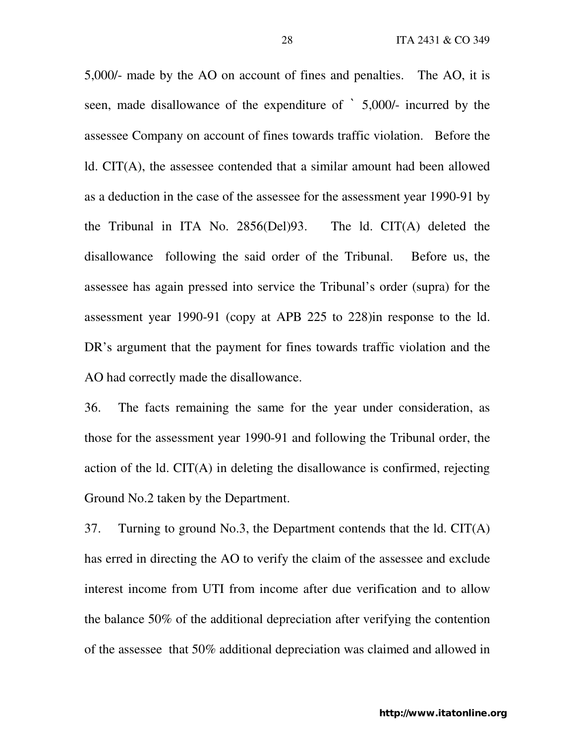5,000/- made by the AO on account of fines and penalties. The AO, it is seen, made disallowance of the expenditure of ` 5,000/- incurred by the assessee Company on account of fines towards traffic violation. Before the ld. CIT(A), the assessee contended that a similar amount had been allowed as a deduction in the case of the assessee for the assessment year 1990-91 by the Tribunal in ITA No. 2856(Del)93. The ld. CIT(A) deleted the disallowance following the said order of the Tribunal. Before us, the assessee has again pressed into service the Tribunal's order (supra) for the assessment year 1990-91 (copy at APB 225 to 228)in response to the ld. DR's argument that the payment for fines towards traffic violation and the AO had correctly made the disallowance.

36. The facts remaining the same for the year under consideration, as those for the assessment year 1990-91 and following the Tribunal order, the action of the ld. CIT(A) in deleting the disallowance is confirmed, rejecting Ground No.2 taken by the Department.

37. Turning to ground No.3, the Department contends that the ld. CIT(A) has erred in directing the AO to verify the claim of the assessee and exclude interest income from UTI from income after due verification and to allow the balance 50% of the additional depreciation after verifying the contention of the assessee that 50% additional depreciation was claimed and allowed in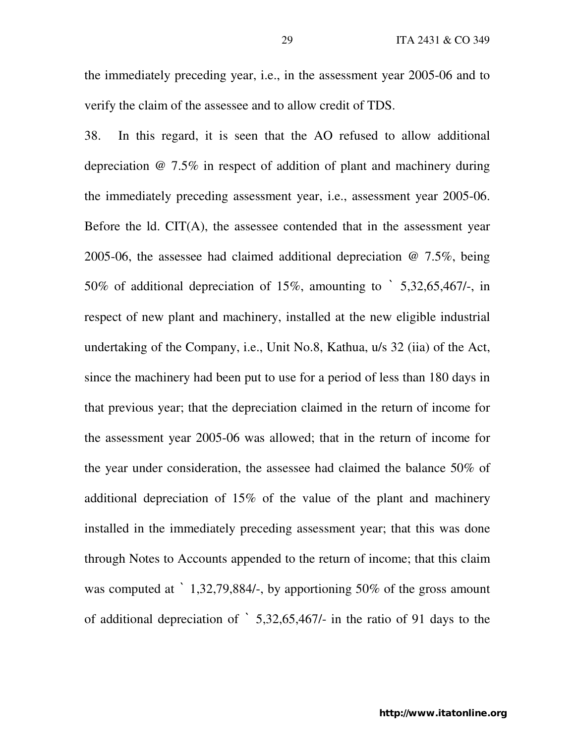the immediately preceding year, i.e., in the assessment year 2005-06 and to verify the claim of the assessee and to allow credit of TDS.

38. In this regard, it is seen that the AO refused to allow additional depreciation @ 7.5% in respect of addition of plant and machinery during the immediately preceding assessment year, i.e., assessment year 2005-06. Before the ld. CIT(A), the assessee contended that in the assessment year 2005-06, the assessee had claimed additional depreciation @ 7.5%, being 50% of additional depreciation of 15%, amounting to ` 5,32,65,467/-, in respect of new plant and machinery, installed at the new eligible industrial undertaking of the Company, i.e., Unit No.8, Kathua, u/s 32 (iia) of the Act, since the machinery had been put to use for a period of less than 180 days in that previous year; that the depreciation claimed in the return of income for the assessment year 2005-06 was allowed; that in the return of income for the year under consideration, the assessee had claimed the balance 50% of additional depreciation of 15% of the value of the plant and machinery installed in the immediately preceding assessment year; that this was done through Notes to Accounts appended to the return of income; that this claim was computed at  $\cdot$  1,32,79,884/-, by apportioning 50% of the gross amount of additional depreciation of ` 5,32,65,467/- in the ratio of 91 days to the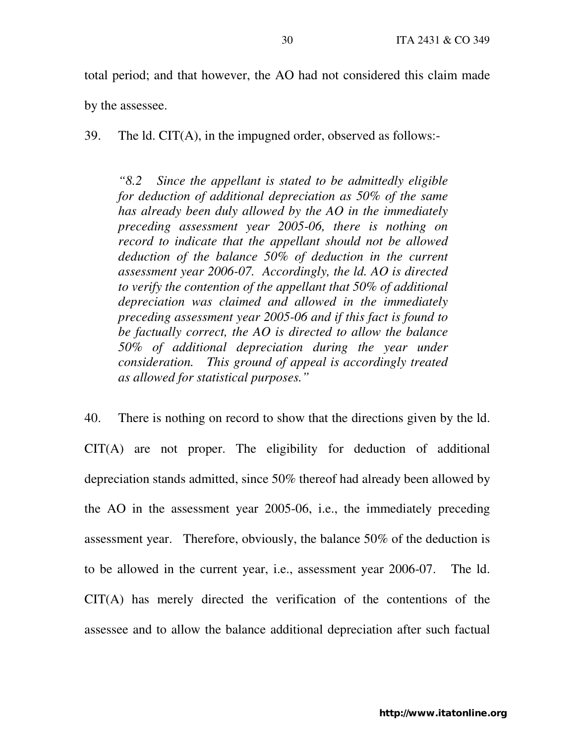total period; and that however, the AO had not considered this claim made

by the assessee.

39. The ld. CIT(A), in the impugned order, observed as follows:-

*"8.2 Since the appellant is stated to be admittedly eligible for deduction of additional depreciation as 50% of the same has already been duly allowed by the AO in the immediately preceding assessment year 2005-06, there is nothing on record to indicate that the appellant should not be allowed deduction of the balance 50% of deduction in the current assessment year 2006-07. Accordingly, the ld. AO is directed to verify the contention of the appellant that 50% of additional depreciation was claimed and allowed in the immediately preceding assessment year 2005-06 and if this fact is found to be factually correct, the AO is directed to allow the balance 50% of additional depreciation during the year under consideration. This ground of appeal is accordingly treated as allowed for statistical purposes."* 

40. There is nothing on record to show that the directions given by the ld. CIT(A) are not proper. The eligibility for deduction of additional depreciation stands admitted, since 50% thereof had already been allowed by the AO in the assessment year 2005-06, i.e., the immediately preceding assessment year. Therefore, obviously, the balance 50% of the deduction is to be allowed in the current year, i.e., assessment year 2006-07. The ld. CIT(A) has merely directed the verification of the contentions of the assessee and to allow the balance additional depreciation after such factual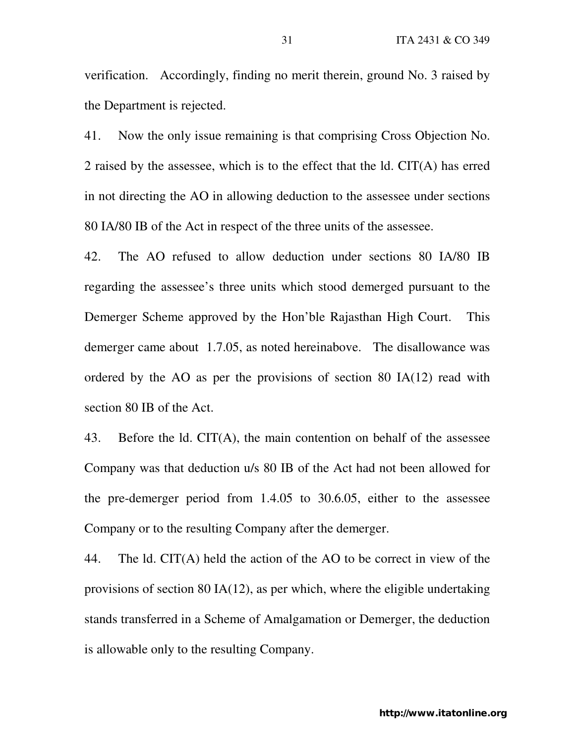verification. Accordingly, finding no merit therein, ground No. 3 raised by the Department is rejected.

41. Now the only issue remaining is that comprising Cross Objection No. 2 raised by the assessee, which is to the effect that the ld. CIT(A) has erred in not directing the AO in allowing deduction to the assessee under sections 80 IA/80 IB of the Act in respect of the three units of the assessee.

42. The AO refused to allow deduction under sections 80 IA/80 IB regarding the assessee's three units which stood demerged pursuant to the Demerger Scheme approved by the Hon'ble Rajasthan High Court. This demerger came about 1.7.05, as noted hereinabove. The disallowance was ordered by the AO as per the provisions of section 80 IA(12) read with section 80 IB of the Act.

43. Before the ld. CIT(A), the main contention on behalf of the assessee Company was that deduction u/s 80 IB of the Act had not been allowed for the pre-demerger period from 1.4.05 to 30.6.05, either to the assessee Company or to the resulting Company after the demerger.

44. The ld. CIT(A) held the action of the AO to be correct in view of the provisions of section 80 IA(12), as per which, where the eligible undertaking stands transferred in a Scheme of Amalgamation or Demerger, the deduction is allowable only to the resulting Company.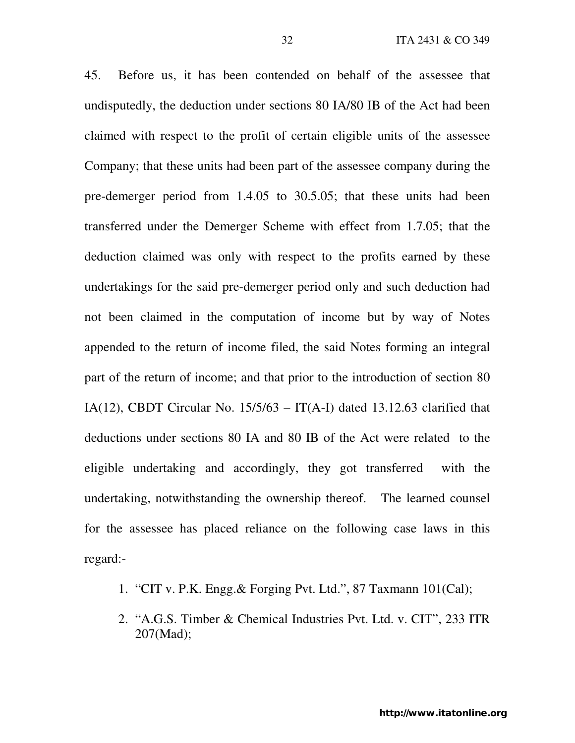45. Before us, it has been contended on behalf of the assessee that undisputedly, the deduction under sections 80 IA/80 IB of the Act had been claimed with respect to the profit of certain eligible units of the assessee Company; that these units had been part of the assessee company during the pre-demerger period from 1.4.05 to 30.5.05; that these units had been transferred under the Demerger Scheme with effect from 1.7.05; that the deduction claimed was only with respect to the profits earned by these undertakings for the said pre-demerger period only and such deduction had not been claimed in the computation of income but by way of Notes appended to the return of income filed, the said Notes forming an integral part of the return of income; and that prior to the introduction of section 80 IA(12), CBDT Circular No.  $15/5/63 - IT(A-I)$  dated 13.12.63 clarified that deductions under sections 80 IA and 80 IB of the Act were related to the eligible undertaking and accordingly, they got transferred with the undertaking, notwithstanding the ownership thereof. The learned counsel for the assessee has placed reliance on the following case laws in this regard:-

- 1. "CIT v. P.K. Engg.& Forging Pvt. Ltd.", 87 Taxmann 101(Cal);
- 2. "A.G.S. Timber & Chemical Industries Pvt. Ltd. v. CIT", 233 ITR 207(Mad);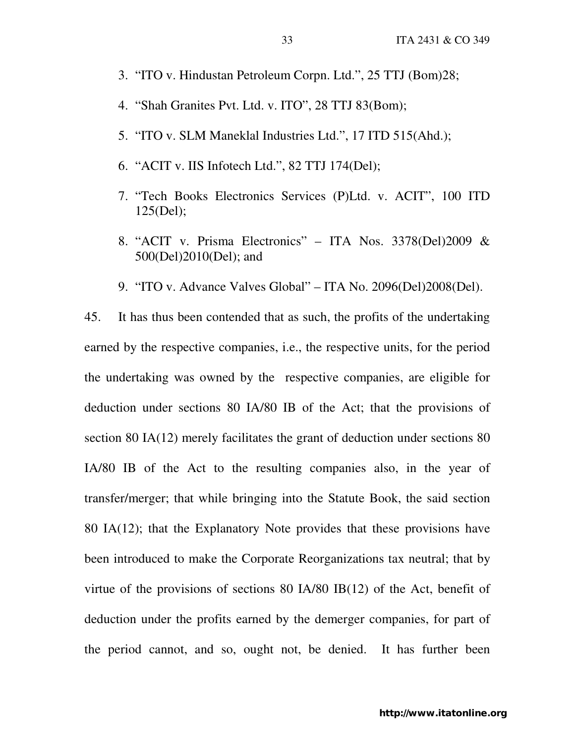- 3. "ITO v. Hindustan Petroleum Corpn. Ltd.", 25 TTJ (Bom)28;
- 4. "Shah Granites Pvt. Ltd. v. ITO", 28 TTJ 83(Bom);
- 5. "ITO v. SLM Maneklal Industries Ltd.", 17 ITD 515(Ahd.);
- 6. "ACIT v. IIS Infotech Ltd.", 82 TTJ 174(Del);
- 7. "Tech Books Electronics Services (P)Ltd. v. ACIT", 100 ITD 125(Del);
- 8. "ACIT v. Prisma Electronics" ITA Nos. 3378(Del)2009 & 500(Del)2010(Del); and
- 9. "ITO v. Advance Valves Global" ITA No. 2096(Del)2008(Del).

45. It has thus been contended that as such, the profits of the undertaking earned by the respective companies, i.e., the respective units, for the period the undertaking was owned by the respective companies, are eligible for deduction under sections 80 IA/80 IB of the Act; that the provisions of section 80 IA(12) merely facilitates the grant of deduction under sections 80 IA/80 IB of the Act to the resulting companies also, in the year of transfer/merger; that while bringing into the Statute Book, the said section 80 IA(12); that the Explanatory Note provides that these provisions have been introduced to make the Corporate Reorganizations tax neutral; that by virtue of the provisions of sections 80 IA/80 IB(12) of the Act, benefit of deduction under the profits earned by the demerger companies, for part of the period cannot, and so, ought not, be denied. It has further been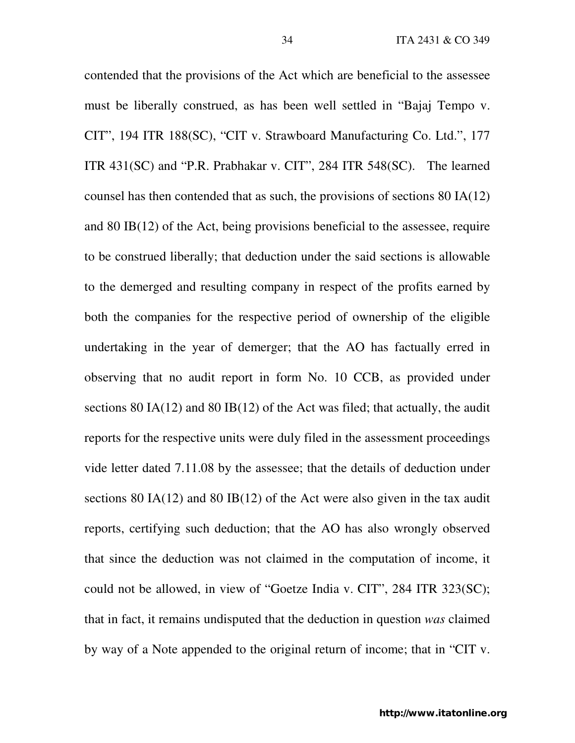contended that the provisions of the Act which are beneficial to the assessee must be liberally construed, as has been well settled in "Bajaj Tempo v. CIT", 194 ITR 188(SC), "CIT v. Strawboard Manufacturing Co. Ltd.", 177 ITR 431(SC) and "P.R. Prabhakar v. CIT", 284 ITR 548(SC). The learned counsel has then contended that as such, the provisions of sections 80 IA(12) and 80 IB(12) of the Act, being provisions beneficial to the assessee, require to be construed liberally; that deduction under the said sections is allowable to the demerged and resulting company in respect of the profits earned by both the companies for the respective period of ownership of the eligible undertaking in the year of demerger; that the AO has factually erred in observing that no audit report in form No. 10 CCB, as provided under sections 80 IA(12) and 80 IB(12) of the Act was filed; that actually, the audit reports for the respective units were duly filed in the assessment proceedings vide letter dated 7.11.08 by the assessee; that the details of deduction under sections 80 IA(12) and 80 IB(12) of the Act were also given in the tax audit reports, certifying such deduction; that the AO has also wrongly observed that since the deduction was not claimed in the computation of income, it could not be allowed, in view of "Goetze India v. CIT", 284 ITR 323(SC); that in fact, it remains undisputed that the deduction in question *was* claimed by way of a Note appended to the original return of income; that in "CIT v.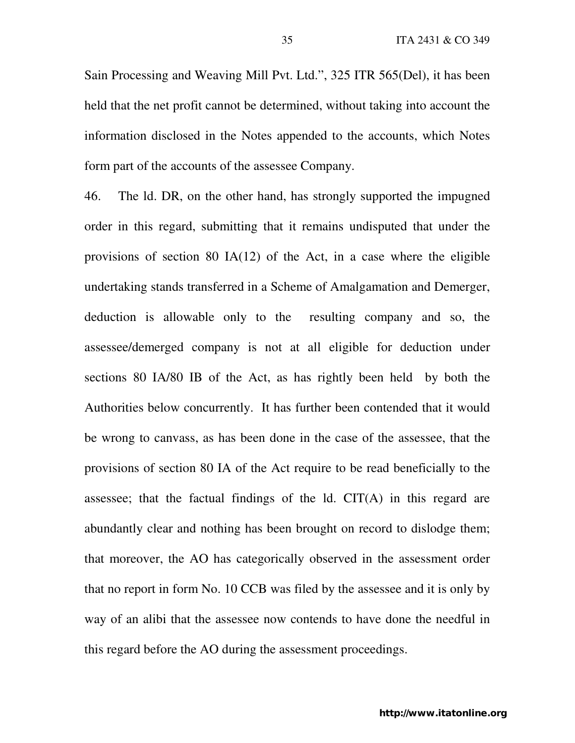Sain Processing and Weaving Mill Pvt. Ltd.", 325 ITR 565(Del), it has been held that the net profit cannot be determined, without taking into account the information disclosed in the Notes appended to the accounts, which Notes form part of the accounts of the assessee Company.

46. The ld. DR, on the other hand, has strongly supported the impugned order in this regard, submitting that it remains undisputed that under the provisions of section 80 IA(12) of the Act, in a case where the eligible undertaking stands transferred in a Scheme of Amalgamation and Demerger, deduction is allowable only to the resulting company and so, the assessee/demerged company is not at all eligible for deduction under sections 80 IA/80 IB of the Act, as has rightly been held by both the Authorities below concurrently. It has further been contended that it would be wrong to canvass, as has been done in the case of the assessee, that the provisions of section 80 IA of the Act require to be read beneficially to the assessee; that the factual findings of the ld. CIT(A) in this regard are abundantly clear and nothing has been brought on record to dislodge them; that moreover, the AO has categorically observed in the assessment order that no report in form No. 10 CCB was filed by the assessee and it is only by way of an alibi that the assessee now contends to have done the needful in this regard before the AO during the assessment proceedings.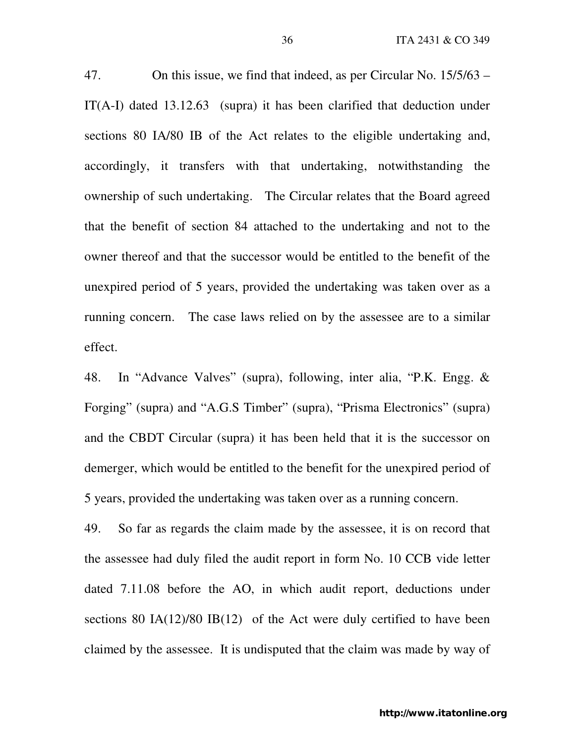47. On this issue, we find that indeed, as per Circular No. 15/5/63 – IT(A-I) dated 13.12.63 (supra) it has been clarified that deduction under sections 80 IA/80 IB of the Act relates to the eligible undertaking and, accordingly, it transfers with that undertaking, notwithstanding the ownership of such undertaking. The Circular relates that the Board agreed that the benefit of section 84 attached to the undertaking and not to the owner thereof and that the successor would be entitled to the benefit of the unexpired period of 5 years, provided the undertaking was taken over as a running concern. The case laws relied on by the assessee are to a similar effect.

48. In "Advance Valves" (supra), following, inter alia, "P.K. Engg. & Forging" (supra) and "A.G.S Timber" (supra), "Prisma Electronics" (supra) and the CBDT Circular (supra) it has been held that it is the successor on demerger, which would be entitled to the benefit for the unexpired period of 5 years, provided the undertaking was taken over as a running concern.

49. So far as regards the claim made by the assessee, it is on record that the assessee had duly filed the audit report in form No. 10 CCB vide letter dated 7.11.08 before the AO, in which audit report, deductions under sections 80 IA(12)/80 IB(12) of the Act were duly certified to have been claimed by the assessee. It is undisputed that the claim was made by way of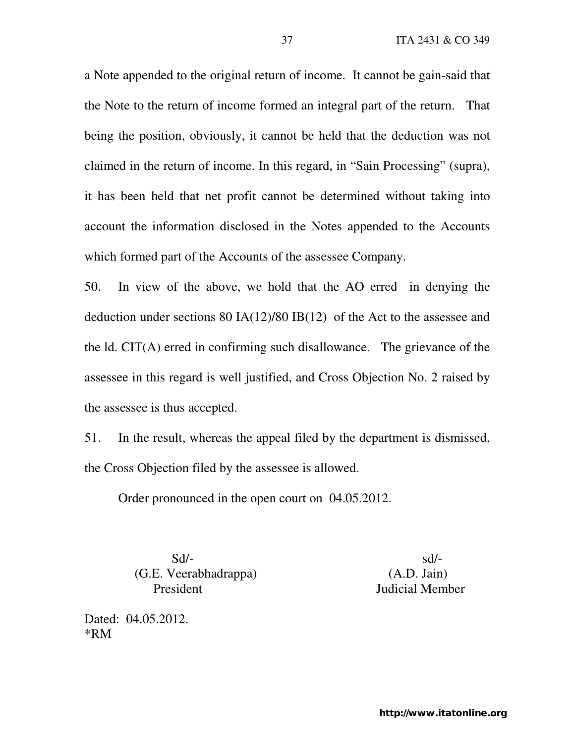a Note appended to the original return of income. It cannot be gain-said that the Note to the return of income formed an integral part of the return. That being the position, obviously, it cannot be held that the deduction was not claimed in the return of income. In this regard, in "Sain Processing" (supra), it has been held that net profit cannot be determined without taking into account the information disclosed in the Notes appended to the Accounts which formed part of the Accounts of the assessee Company.

50. In view of the above, we hold that the AO erred in denying the deduction under sections 80 IA(12)/80 IB(12) of the Act to the assessee and the ld. CIT(A) erred in confirming such disallowance. The grievance of the assessee in this regard is well justified, and Cross Objection No. 2 raised by the assessee is thus accepted.

51. In the result, whereas the appeal filed by the department is dismissed, the Cross Objection filed by the assessee is allowed.

Order pronounced in the open court on 04.05.2012.

 Sd/- sd/- (G.E. Veerabhadrappa) (A.D. Jain) President Judicial Member

Dated: 04.05.2012. \*RM